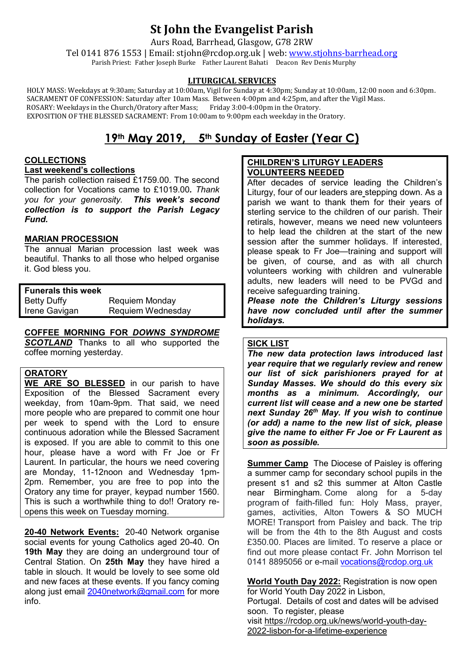# **St John the Evangelist Parish**

Aurs Road, Barrhead, Glasgow, G78 2RW

Tel 0141 876 1553 | Email: stjohn@rcdop.org.uk | web: [www.stjohns-barrhead.org](http://www.stjohns-barrhead.org/) Parish Priest: Father Joseph Burke Father Laurent Bahati Deacon Rev Denis Murphy

# **LITURGICAL SERVICES**

 HOLY MASS: Weekdays at 9:30am; Saturday at 10:00am, Vigil for Sunday at 4:30pm; Sunday at 10:00am, 12:00 noon and 6:30pm. SACRAMENT OF CONFESSION: Saturday after 10am Mass. Between 4:00pm and 4:25pm, and after the Vigil Mass. ROSARY: Weekdays in the Church/Oratory after Mass; Friday 3:00-4:00pm in the Oratory. EXPOSITION OF THE BLESSED SACRAMENT: From 10:00am to 9:00pm each weekday in the Oratory.

# **19th May 2019, 5th Sunday of Easter (Year C)**

# **COLLECTIONS**

**Last weekend's collections**

The parish collection raised £1759.00. The second collection for Vocations came to £1019.00*. Thank you for your generosity. This week's second collection is to support the Parish Legacy Fund.*

# **MARIAN PROCESSION**

The annual Marian procession last week was beautiful. Thanks to all those who helped organise it. God bless you.

**Funerals this week** Betty Duffy Requiem Monday Requiem Wednesday

# **COFFEE MORNING FOR** *DOWNS SYNDROME*

**SCOTLAND** Thanks to all who supported the coffee morning yesterday.

# **ORATORY**

**WE ARE SO BLESSED** in our parish to have Exposition of the Blessed Sacrament every weekday, from 10am-9pm. That said, we need more people who are prepared to commit one hour per week to spend with the Lord to ensure continuous adoration while the Blessed Sacrament is exposed. If you are able to commit to this one hour, please have a word with Fr Joe or Fr Laurent. In particular, the hours we need covering are Monday, 11-12noon and Wednesday 1pm-2pm. Remember, you are free to pop into the Oratory any time for prayer, keypad number 1560. This is such a worthwhile thing to do!! Oratory reopens this week on Tuesday morning.

**20-40 Network Events:** 20-40 Network organise social events for young Catholics aged 20-40. On **19th May** they are doing an underground tour of Central Station. On **25th May** they have hired a table in slouch. It would be lovely to see some old and new faces at these events. If you fancy coming along just email [2040network@gmail.com](mailto:2040network@gmail.com) for more info.

# **CHILDREN'S LITURGY LEADERS VOLUNTEERS NEEDED**

After decades of service leading the Children's Liturgy, four of our leaders are stepping down. As a parish we want to thank them for their years of sterling service to the children of our parish. Their retirals, however, means we need new volunteers to help lead the children at the start of the new session after the summer holidays. If interested, please speak to Fr Joe—training and support will be given, of course, and as with all church volunteers working with children and vulnerable adults, new leaders will need to be PVGd and receive safeguarding training.

*Please note the Children's Liturgy sessions have now concluded until after the summer holidays.*

#### **SICK LIST**

*The new data protection laws introduced last year require that we regularly review and renew our list of sick parishioners prayed for at Sunday Masses. We should do this every six months as a minimum. Accordingly, our current list will cease and a new one be started next Sunday 26th May. If you wish to continue (or add) a name to the new list of sick, please give the name to either Fr Joe or Fr Laurent as soon as possible.* 

**Summer Camp** The Diocese of Paisley is offering a summer camp for secondary school pupils in the present s1 and s2 this summer at Alton Castle near Birmingham. Come along for a 5-day program of faith-filled fun: Holy Mass, prayer, games, activities, Alton Towers & SO MUCH MORE! Transport from Paisley and back. The trip will be from the 4th to the 8th August and costs £350.00. Places are limited. To reserve a place or find out more please contact Fr. John Morrison tel 0141 8895056 or e-mail [vocations@rcdop.org.uk](mailto:vocations@rcdop.org.uk)

**World Youth Day 2022:** Registration is now open for World Youth Day 2022 in Lisbon, Portugal. Details of cost and dates will be advised

soon. To register, please

visit [https://rcdop.org.uk/news/world-youth-day-](https://rcdop.org.uk/news/world-youth-day-2022-lisbon-for-a-lifetime-experience)[2022-lisbon-for-a-lifetime-experience](https://rcdop.org.uk/news/world-youth-day-2022-lisbon-for-a-lifetime-experience)